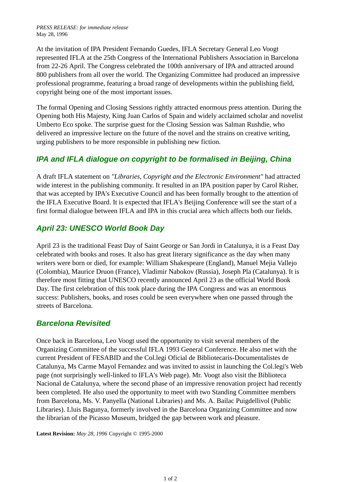At the invitation of IPA President Fernando Guedes, IFLA Secretary General Leo Voogt represented IFLA at the 25th Congress of the International Publishers Association in Barcelona from 22-26 April. The Congress celebrated the 100th anniversary of IPA and attracted around 800 publishers from all over the world. The Organizing Committee had produced an impressive professional programme, featuring a broad range of developments within the publishing field, copyright being one of the most important issues.

The formal Opening and Closing Sessions rightly attracted enormous press attention. During the Opening both His Majesty, King Juan Carlos of Spain and widely acclaimed scholar and novelist Umberto Eco spoke. The surprise guest for the Closing Session was Salman Rushdie, who delivered an impressive lecture on the future of the novel and the strains on creative writing, urging publishers to be more responsible in publishing new fiction.

## *IPA and IFLA dialogue on copyright to be formalised in Beijing, China*

A draft IFLA statement on *"Libraries, Copyright and the Electronic Environment"* had attracted wide interest in the publishing community. It resulted in an IPA position paper by Carol Risher, that was accepted by IPA's Executive Council and has been formally brought to the attention of the IFLA Executive Board. It is expected that IFLA's Beijing Conference will see the start of a first formal dialogue between IFLA and IPA in this crucial area which affects both our fields.

## *April 23: UNESCO World Book Day*

April 23 is the traditional Feast Day of Saint George or San Jordi in Catalunya, it is a Feast Day celebrated with books and roses. It also has great literary significance as the day when many writers were born or died, for example: William Shakespeare (England), Manuel Mejia Vallejo (Colombia), Maurice Druon (France), Vladimir Nabokov (Russia), Joseph Pla (Catalunya). It is therefore most fitting that UNESCO recently announced April 23 as the official World Book Day. The first celebration of this took place during the IPA Congress and was an enormous success: Publishers, books, and roses could be seen everywhere when one passed through the streets of Barcelona.

## *Barcelona Revisited*

Once back in Barcelona, Leo Voogt used the opportunity to visit several members of the Organizing Committee of the successful IFLA 1993 General Conference. He also met with the current President of FESABID and the Col.legi Oficial de Bibliotecaris-Documentalistes de Catalunya, Ms Carme Mayol Fernandez and was invited to assist in launching the Col.legi's Web page (not surprisingly well-linked to IFLA's Web page). Mr. Voogt also visit the Biblioteca Nacional de Catalunya, where the second phase of an impressive renovation project had recently been completed. He also used the opportunity to meet with two Standing Committee members from Barcelona, Ms. V. Panyella (National Libraries) and Ms. A. Bailac Puigdellivol (Public Libraries). Lluis Bagunya, formerly involved in the Barcelona Organizing Committee and now the librarian of the Picasso Museum, bridged the gap between work and pleasure.

**Latest Revision:** *May 28, 1996* Copyright © 1995-2000